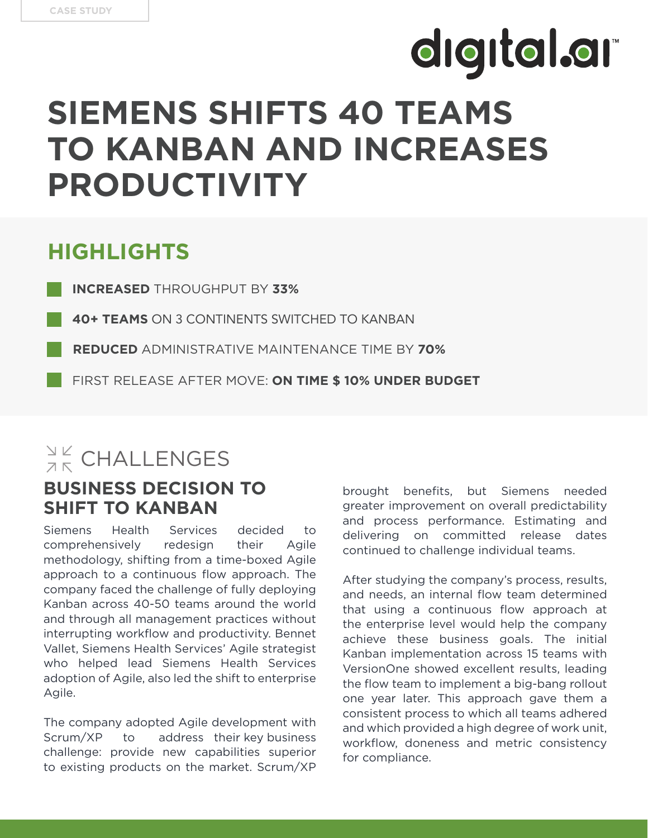# digital.ar **SIEMENS SHIFTS 40 TEAMS TO KANBAN AND INCREASES PRODUCTIVITY**

### **HIGHLIGHTS**

**INCREASED** THROUGHPUT BY **33%**

**40+ TEAMS** ON 3 CONTINENTS SWITCHED TO KANBAN

- **REDUCED** ADMINISTRATIVE MAINTENANCE TIME BY **70%**
- FIRST RELEASE AFTER MOVE: **ON TIME \$ 10% UNDER BUDGET**

### $\frac{N}{2K}$  CHALLENGES

#### **BUSINESS DECISION TO SHIFT TO KANBAN**

Siemens Health Services decided to comprehensively redesign their Agile methodology, shifting from a time-boxed Agile approach to a continuous flow approach. The company faced the challenge of fully deploying Kanban across 40-50 teams around the world and through all management practices without interrupting workflow and productivity. Bennet Vallet, Siemens Health Services' Agile strategist who helped lead Siemens Health Services adoption of Agile, also led the shift to enterprise Agile.

The company adopted Agile development with Scrum/XP to address their key business challenge: provide new capabilities superior to existing products on the market. Scrum/XP brought benefits, but Siemens needed greater improvement on overall predictability and process performance. Estimating and delivering on committed release dates continued to challenge individual teams.

After studying the company's process, results, and needs, an internal flow team determined that using a continuous flow approach at the enterprise level would help the company achieve these business goals. The initial Kanban implementation across 15 teams with VersionOne showed excellent results, leading the flow team to implement a big-bang rollout one year later. This approach gave them a consistent process to which all teams adhered and which provided a high degree of work unit, workflow, doneness and metric consistency for compliance.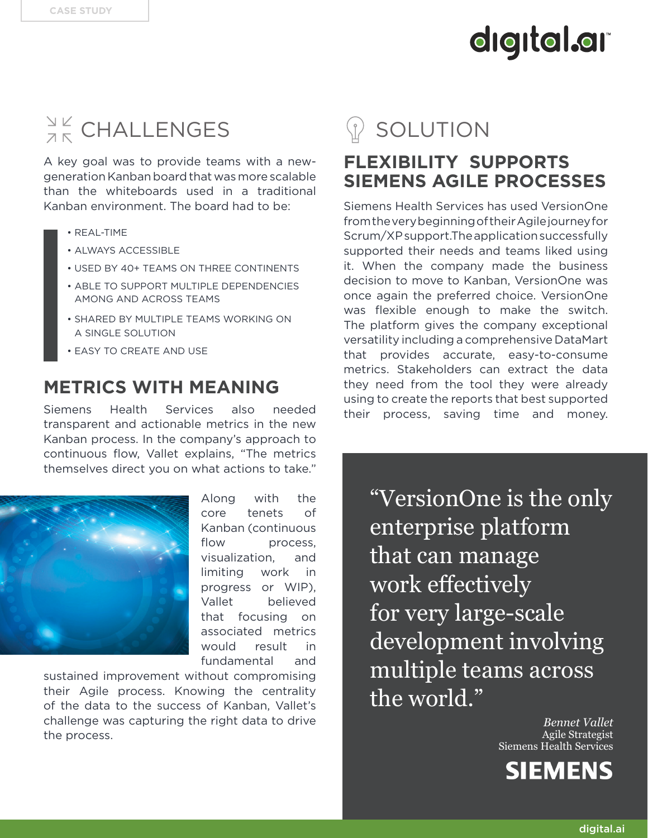# digital.ar

## $\frac{N}{2K}$  CHALLENGES

A key goal was to provide teams with a newgeneration Kanban board that was more scalable than the whiteboards used in a traditional Kanban environment. The board had to be:

- REAL-TIME
- ALWAYS ACCESSIBLE
- USED BY 40+ TEAMS ON THREE CONTINENTS
- ABLE TO SUPPORT MULTIPLE DEPENDENCIES AAMONG AND ACROSS TEAMS
- SHARED BY MULTIPLE TEAMS WORKING ON A SINGLE SOLUTION
- EASY TO CREATE AND USE

#### **METRICS WITH MEANING**

Siemens Health Services also needed transparent and actionable metrics in the new Kanban process. In the company's approach to continuous flow, Vallet explains, "The metrics themselves direct you on what actions to take."



Along with the core tenets of Kanban (continuous flow process. visualization, and limiting work in progress or WIP), Vallet believed that focusing on associated metrics would result in fundamental and

sustained improvement without compromising their Agile process. Knowing the centrality of the data to the success of Kanban, Vallet's challenge was capturing the right data to drive the process.

### SOLUTION

### **FLEXIBILITY SUPPORTS SIEMENS AGILE PROCESSES**

Siemens Health Services has used VersionOne from the very beginning of their Agile journey for Scrum/XP support.The application successfully supported their needs and teams liked using it. When the company made the business decision to move to Kanban, VersionOne was once again the preferred choice. VersionOne was flexible enough to make the switch. The platform gives the company exceptional versatility including a comprehensive DataMart that provides accurate, easy-to-consume metrics. Stakeholders can extract the data they need from the tool they were already using to create the reports that best supported their process, saving time and money.

"VersionOne is the only enterprise platform that can manage work effectively for very large-scale development involving multiple teams across the world."

> *Bennet Vallet* Agile Strategist Siemens Health Services